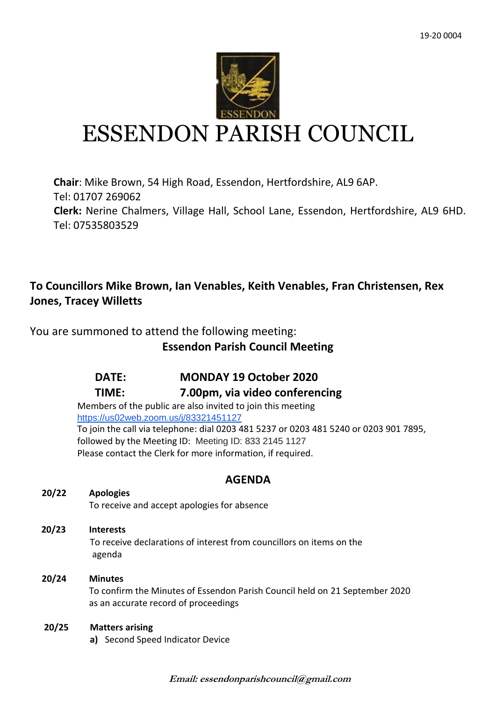

# ESSENDON PARISH COUNCIL

**Chair**: Mike Brown, 54 High Road, Essendon, Hertfordshire, AL9 6AP. Tel: 01707 269062 **Clerk:** Nerine Chalmers, Village Hall, School Lane, Essendon, Hertfordshire, AL9 6HD. Tel: 07535803529

# **To Councillors Mike Brown, Ian Venables, Keith Venables, Fran Christensen, Rex Jones, Tracey Willetts**

You are summoned to attend the following meeting:

# **Essendon Parish Council Meeting**

# **DATE: MONDAY 19 October 2020**

## **TIME: 7.00pm, via video conferencing**

Members of the public are also invited to join this meeting <https://us02web.zoom.us/j/83321451127> To join the call via telephone: dial 0203 481 5237 or 0203 481 5240 or 0203 901 7895, followed by the Meeting ID: Meeting ID: 833 2145 1127 Please contact the Clerk for more information, if required.

## **AGENDA**

## **20/22 Apologies**

To receive and accept apologies for absence

 **20/23 Interests** To receive declarations of interest from councillors on items on the agenda

## **20/24 Minutes** To confirm the Minutes of Essendon Parish Council held on 21 September 2020 as an accurate record of proceedings

## **20/25 Matters arising**

**a)** Second Speed Indicator Device

**Email: essendonparishcouncil@gmail.com**